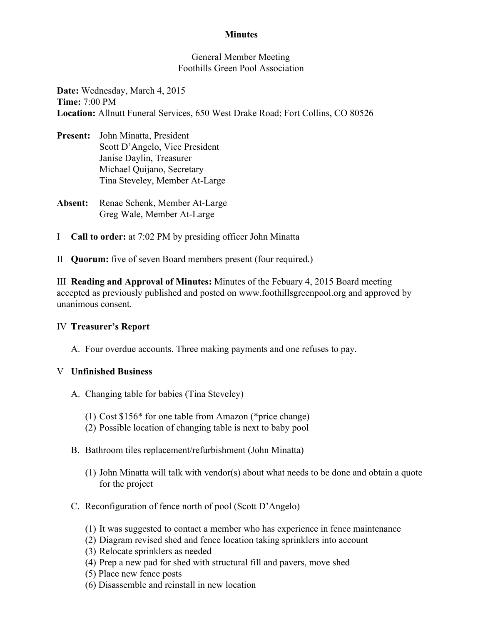## **Minutes**

### General Member Meeting Foothills Green Pool Association

**Date:** Wednesday, March 4, 2015 **Time:**7:00 PM **Location:**Allnutt Funeral Services, 650 West Drake Road; Fort Collins, CO 80526

- **Present:** John Minatta, President Scott D'Angelo, Vice President Janise Daylin, Treasurer Michael Quijano, Secretary Tina Steveley, Member At-Large
- Absent: Renae Schenk, Member At-Large Greg Wale, Member At-Large
- I **Call to order:** at 7:02 PM by presiding officer John Minatta
- II **Quorum:**five of seven Board members present (four required.)

III **Reading and Approval of Minutes:** Minutes of the Febuary 4, 2015 Board meeting accepted as previously published and posted on www.foothillsgreenpool.org and approved by unanimous consent.

### IV **Treasurer's Report**

A. Four overdue accounts. Three making payments and one refuses to pay.

# V **Unfinished Business**

- A. Changing table for babies (Tina Steveley)
	- (1) Cost \$156\* for one table from Amazon (\*price change)
	- (2) Possible location of changing table is next to baby pool
- B. Bathroom tiles replacement/refurbishment (John Minatta)
	- (1) John Minatta will talk with vendor(s) about what needs to be done and obtain a quote for the project
- C. Reconfiguration of fence north of pool (Scott D'Angelo)
	- (1) It was suggested to contact a member who has experience in fence maintenance
	- (2) Diagram revised shed and fence location taking sprinklers into account
	- (3) Relocate sprinklers as needed
	- (4) Prep a new pad for shed with structural fill and pavers, move shed
	- (5) Place new fence posts
	- (6) Disassemble and reinstall in new location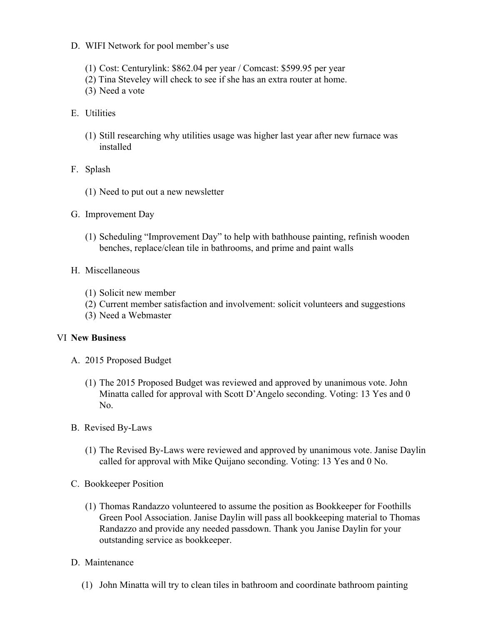- D. WIFI Network for pool member's use
	- (1) Cost: Centurylink: \$862.04 per year / Comcast: \$599.95 per year
	- (2) Tina Steveley will check to see if she has an extra router at home.
	- (3) Need a vote
- E. Utilities
	- (1) Still researching why utilities usage was higher last year after new furnace was installed
- F. Splash
	- (1) Need to put out a new newsletter
- G. Improvement Day
	- (1) Scheduling "Improvement Day" to help with bathhouse painting, refinish wooden benches, replace/clean tile in bathrooms, and prime and paint walls
- H. Miscellaneous
	- (1) Solicit new member
	- (2) Current member satisfaction and involvement: solicit volunteers and suggestions
	- (3) Need a Webmaster

### VI **New Business**

- A. 2015 Proposed Budget
	- (1) The 2015 Proposed Budget was reviewed and approved by unanimous vote. John Minatta called for approval with Scott D'Angelo seconding. Voting: 13 Yes and 0 No.
- B. Revised By-Laws
	- (1) The Revised ByLaws were reviewed and approved by unanimous vote. Janise Daylin called for approval with Mike Quijano seconding. Voting: 13 Yes and 0 No.
- C. Bookkeeper Position
	- (1) Thomas Randazzo volunteered to assume the position as Bookkeeper for Foothills Green Pool Association. Janise Daylin will pass all bookkeeping material to Thomas Randazzo and provide any needed passdown. Thank you Janise Daylin for your outstanding service as bookkeeper.
- D. Maintenance
	- (1) John Minatta will try to clean tiles in bathroom and coordinate bathroom painting